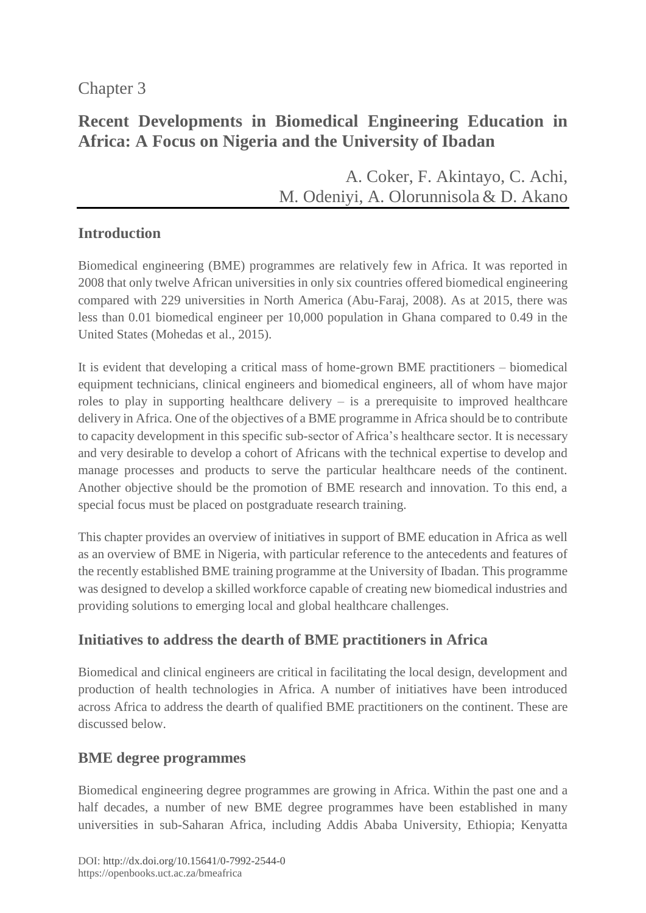# Chapter 3

# **Recent Developments in Biomedical Engineering Education in Africa: A Focus on Nigeria and the University of Ibadan**

A. [Coker,](https://orcid.org/0000-0002-2065-7179) F. [Akintayo,](https://orcid.org/0000-0001-6494-9811) C. [Achi,](https://orcid.org/0000-0002-9723-182X) M. [Odeniyi,](https://orcid.org/0000-0002-9918-4377) A. [Olorunnisola](http://orcid.org/0000-0003-0315-3451) & D. Akano

# **Introduction**

Biomedical engineering (BME) programmes are relatively few in Africa. It was reported in 2008 that only twelve African universities in only six countries offered biomedical engineering compared with 229 universities in North America (Abu-Faraj, 2008). As at 2015, there was less than 0.01 biomedical engineer per 10,000 population in Ghana compared to 0.49 in the United States (Mohedas et al., 2015).

It is evident that developing a critical mass of home-grown BME practitioners – biomedical equipment technicians, clinical engineers and biomedical engineers, all of whom have major roles to play in supporting healthcare delivery – is a prerequisite to improved healthcare delivery in Africa. One of the objectives of a BME programme in Africa should be to contribute to capacity development in this specific sub-sector of Africa's healthcare sector. It is necessary and very desirable to develop a cohort of Africans with the technical expertise to develop and manage processes and products to serve the particular healthcare needs of the continent. Another objective should be the promotion of BME research and innovation. To this end, a special focus must be placed on postgraduate research training.

This chapter provides an overview of initiatives in support of BME education in Africa as well as an overview of BME in Nigeria, with particular reference to the antecedents and features of the recently established BME training programme at the University of Ibadan. This programme was designed to develop a skilled workforce capable of creating new biomedical industries and providing solutions to emerging local and global healthcare challenges.

# **Initiatives to address the dearth of BME practitioners in Africa**

Biomedical and clinical engineers are critical in facilitating the local design, development and production of health technologies in Africa. A number of initiatives have been introduced across Africa to address the dearth of qualified BME practitioners on the continent. These are discussed below.

# **BME degree programmes**

Biomedical engineering degree programmes are growing in Africa. Within the past one and a half decades, a number of new BME degree programmes have been established in many universities in sub-Saharan Africa, including Addis Ababa University, Ethiopia; Kenyatta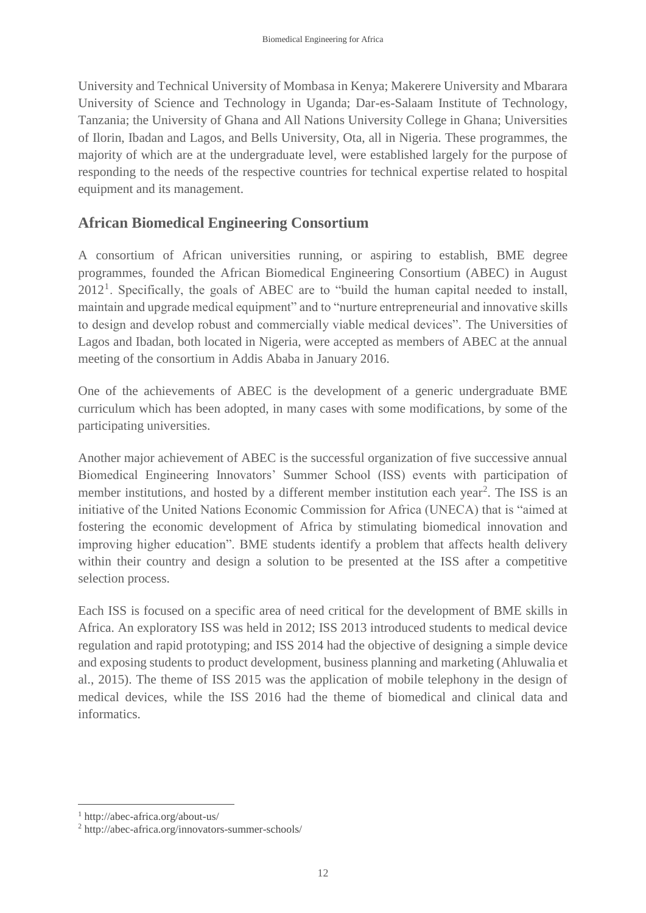University and Technical University of Mombasa in Kenya; Makerere University and Mbarara University of Science and Technology in Uganda; Dar-es-Salaam Institute of Technology, Tanzania; the University of Ghana and All Nations University College in Ghana; Universities of Ilorin, Ibadan and Lagos, and Bells University, Ota, all in Nigeria. These programmes, the majority of which are at the undergraduate level, were established largely for the purpose of responding to the needs of the respective countries for technical expertise related to hospital equipment and its management.

## **African Biomedical Engineering Consortium**

A consortium of African universities running, or aspiring to establish, BME degree programmes, founded the African Biomedical Engineering Consortium (ABEC) in August  $2012<sup>1</sup>$ . Specifically, the goals of ABEC are to "build the human capital needed to install, maintain and upgrade medical equipment" and to "nurture entrepreneurial and innovative skills to design and develop robust and commercially viable medical devices". The Universities of Lagos and Ibadan, both located in Nigeria, were accepted as members of ABEC at the annual meeting of the consortium in Addis Ababa in January 2016.

One of the achievements of ABEC is the development of a generic undergraduate BME curriculum which has been adopted, in many cases with some modifications, by some of the participating universities.

Another major achievement of ABEC is the successful organization of five successive annual Biomedical Engineering Innovators' Summer School (ISS) events with participation of member institutions, and hosted by a different member institution each year<sup>2</sup>. The ISS is an initiative of the United Nations Economic Commission for Africa (UNECA) that is "aimed at fostering the economic development of Africa by stimulating biomedical innovation and improving higher education". BME students identify a problem that affects health delivery within their country and design a solution to be presented at the ISS after a competitive selection process.

Each ISS is focused on a specific area of need critical for the development of BME skills in Africa. An exploratory ISS was held in 2012; ISS 2013 introduced students to medical device regulation and rapid prototyping; and ISS 2014 had the objective of designing a simple device and exposing students to product development, business planning and marketing (Ahluwalia et al., 2015). The theme of ISS 2015 was the application of mobile telephony in the design of medical devices, while the ISS 2016 had the theme of biomedical and clinical data and informatics.

 $\overline{a}$ 

<sup>1</sup> http://abec-africa.org/about-us/

<sup>2</sup> http://abec-africa.org/innovators-summer-schools/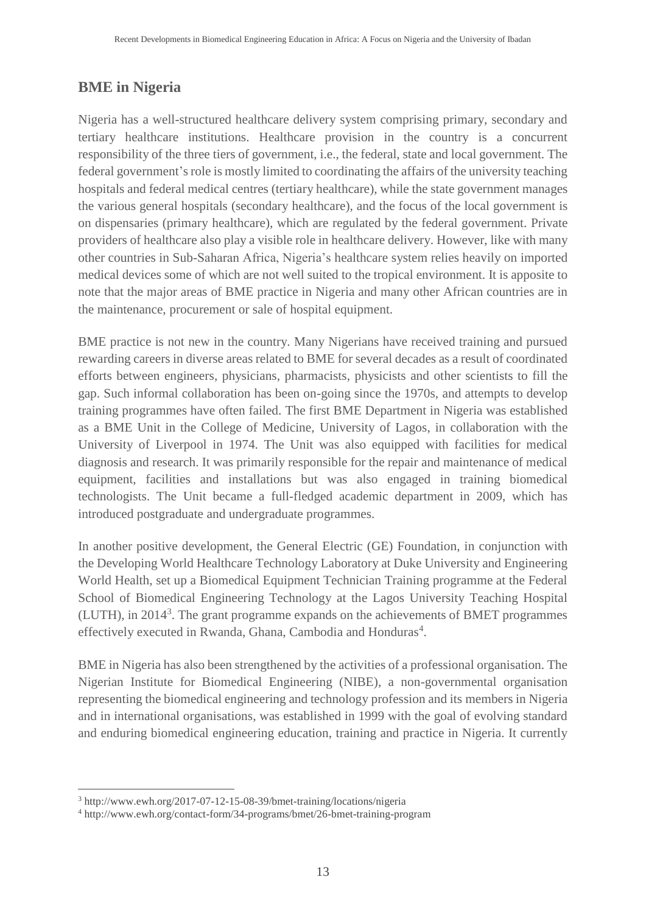# **BME in Nigeria**

Nigeria has a well-structured healthcare delivery system comprising primary, secondary and tertiary healthcare institutions. Healthcare provision in the country is a concurrent responsibility of the three tiers of government, i.e., the federal, state and local government. The federal government's role is mostly limited to coordinating the affairs of the university teaching hospitals and federal medical centres (tertiary healthcare), while the state government manages the various general hospitals (secondary healthcare), and the focus of the local government is on dispensaries (primary healthcare), which are regulated by the federal government. Private providers of healthcare also play a visible role in healthcare delivery. However, like with many other countries in Sub-Saharan Africa, Nigeria's healthcare system relies heavily on imported medical devices some of which are not well suited to the tropical environment. It is apposite to note that the major areas of BME practice in Nigeria and many other African countries are in the maintenance, procurement or sale of hospital equipment.

BME practice is not new in the country. Many Nigerians have received training and pursued rewarding careers in diverse areas related to BME for several decades as a result of coordinated efforts between engineers, physicians, pharmacists, physicists and other scientists to fill the gap. Such informal collaboration has been on-going since the 1970s, and attempts to develop training programmes have often failed. The first BME Department in Nigeria was established as a BME Unit in the College of Medicine, University of Lagos, in collaboration with the University of Liverpool in 1974. The Unit was also equipped with facilities for medical diagnosis and research. It was primarily responsible for the repair and maintenance of medical equipment, facilities and installations but was also engaged in training biomedical technologists. The Unit became a full-fledged academic department in 2009, which has introduced postgraduate and undergraduate programmes.

In another positive development, the General Electric (GE) Foundation, in conjunction with the Developing World Healthcare Technology Laboratory at Duke University and Engineering World Health, set up a Biomedical Equipment Technician Training programme at the Federal School of Biomedical Engineering Technology at the Lagos University Teaching Hospital (LUTH), in 2014<sup>3</sup>. The grant programme expands on the achievements of BMET programmes effectively executed in Rwanda, Ghana, Cambodia and Honduras<sup>4</sup>.

BME in Nigeria has also been strengthened by the activities of a professional organisation. The Nigerian Institute for Biomedical Engineering (NIBE), a non-governmental organisation representing the biomedical engineering and technology profession and its members in Nigeria and in international organisations, was established in 1999 with the goal of evolving standard and enduring biomedical engineering education, training and practice in Nigeria. It currently

 $\overline{a}$ 

<sup>3</sup> http://www.ewh.org/2017-07-12-15-08-39/bmet-training/locations/nigeria

<sup>4</sup> http://www.ewh.org/contact-form/34-programs/bmet/26-bmet-training-program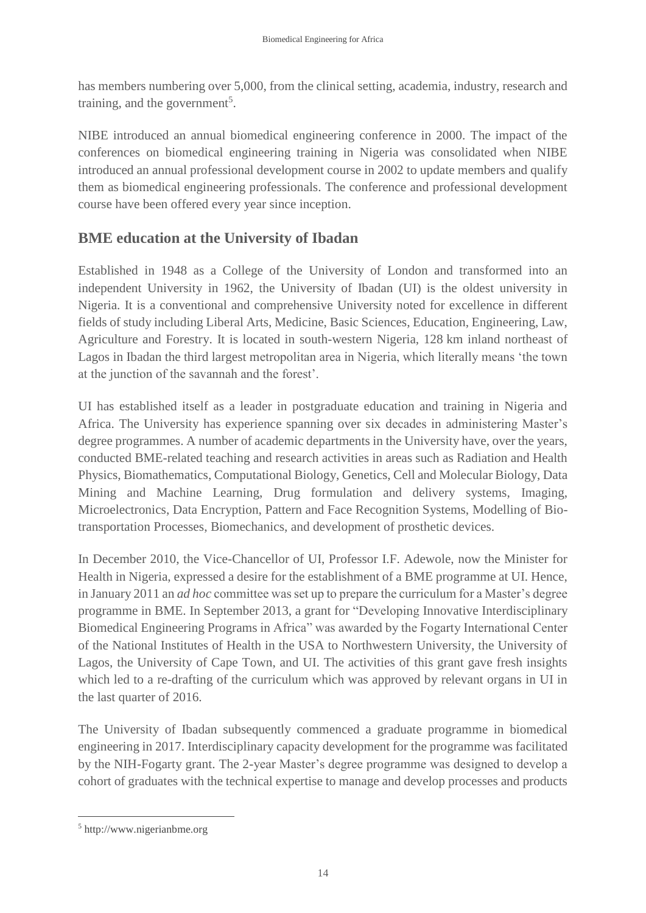has members numbering over 5,000, from the clinical setting, academia, industry, research and training, and the government<sup>5</sup>.

NIBE introduced an annual biomedical engineering conference in 2000. The impact of the conferences on biomedical engineering training in Nigeria was consolidated when NIBE introduced an annual professional development course in 2002 to update members and qualify them as biomedical engineering professionals. The conference and professional development course have been offered every year since inception.

# **BME education at the University of Ibadan**

Established in 1948 as a College of the University of London and transformed into an independent University in 1962, the University of Ibadan (UI) is the oldest university in Nigeria. It is a conventional and comprehensive University noted for excellence in different fields of study including Liberal Arts, Medicine, Basic Sciences, Education, Engineering, Law, Agriculture and Forestry. It is located in south-western Nigeria, 128 km inland northeast of Lagos in Ibadan the third largest metropolitan area in Nigeria, which literally means 'the town at the junction of the savannah and the forest'.

UI has established itself as a leader in postgraduate education and training in Nigeria and Africa. The University has experience spanning over six decades in administering Master's degree programmes. A number of academic departments in the University have, over the years, conducted BME-related teaching and research activities in areas such as Radiation and Health Physics, Biomathematics, Computational Biology, Genetics, Cell and Molecular Biology, Data Mining and Machine Learning, Drug formulation and delivery systems, Imaging, Microelectronics, Data Encryption, Pattern and Face Recognition Systems, Modelling of Biotransportation Processes, Biomechanics, and development of prosthetic devices.

In December 2010, the Vice-Chancellor of UI, Professor I.F. Adewole, now the Minister for Health in Nigeria, expressed a desire for the establishment of a BME programme at UI. Hence, in January 2011 an *ad hoc* committee was set up to prepare the curriculum for a Master's degree programme in BME. In September 2013, a grant for "Developing Innovative Interdisciplinary Biomedical Engineering Programs in Africa" was awarded by the Fogarty International Center of the National Institutes of Health in the USA to Northwestern University, the University of Lagos, the University of Cape Town, and UI. The activities of this grant gave fresh insights which led to a re-drafting of the curriculum which was approved by relevant organs in UI in the last quarter of 2016.

The University of Ibadan subsequently commenced a graduate programme in biomedical engineering in 2017. Interdisciplinary capacity development for the programme was facilitated by the NIH-Fogarty grant. The 2-year Master's degree programme was designed to develop a cohort of graduates with the technical expertise to manage and develop processes and products

 $\overline{a}$ 

<sup>5</sup> http://www.nigerianbme.org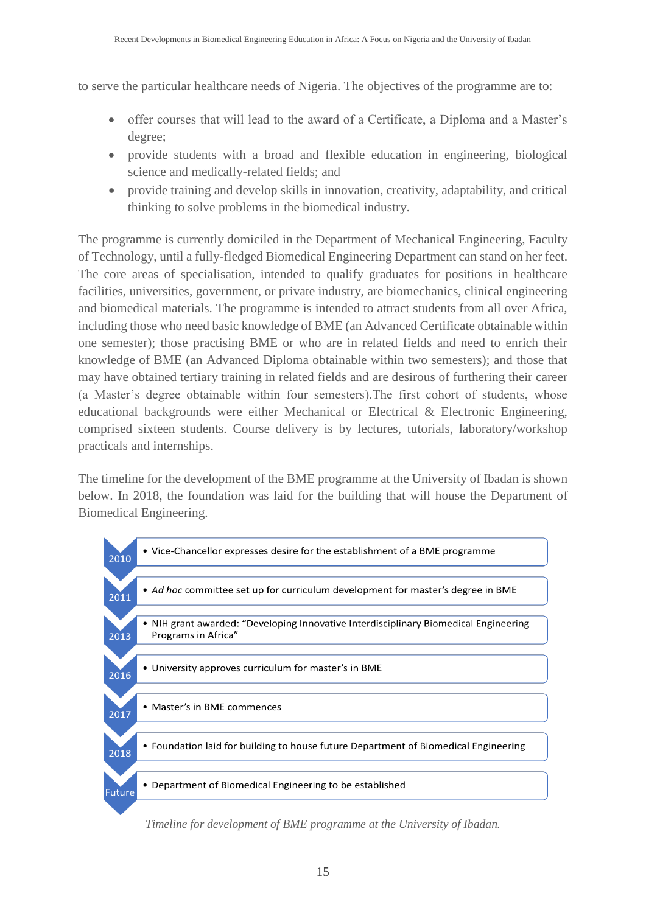to serve the particular healthcare needs of Nigeria. The objectives of the programme are to:

- offer courses that will lead to the award of a Certificate, a Diploma and a Master's degree;
- provide students with a broad and flexible education in engineering, biological science and medically-related fields; and
- provide training and develop skills in innovation, creativity, adaptability, and critical thinking to solve problems in the biomedical industry.

The programme is currently domiciled in the Department of Mechanical Engineering, Faculty of Technology, until a fully-fledged Biomedical Engineering Department can stand on her feet. The core areas of specialisation, intended to qualify graduates for positions in healthcare facilities, universities, government, or private industry, are biomechanics, clinical engineering and biomedical materials. The programme is intended to attract students from all over Africa, including those who need basic knowledge of BME (an Advanced Certificate obtainable within one semester); those practising BME or who are in related fields and need to enrich their knowledge of BME (an Advanced Diploma obtainable within two semesters); and those that may have obtained tertiary training in related fields and are desirous of furthering their career (a Master's degree obtainable within four semesters).The first cohort of students, whose educational backgrounds were either Mechanical or Electrical & Electronic Engineering, comprised sixteen students. Course delivery is by lectures, tutorials, laboratory/workshop practicals and internships.

The timeline for the development of the BME programme at the University of Ibadan is shown below. In 2018, the foundation was laid for the building that will house the Department of Biomedical Engineering.



*Timeline for development of BME programme at the University of Ibadan.*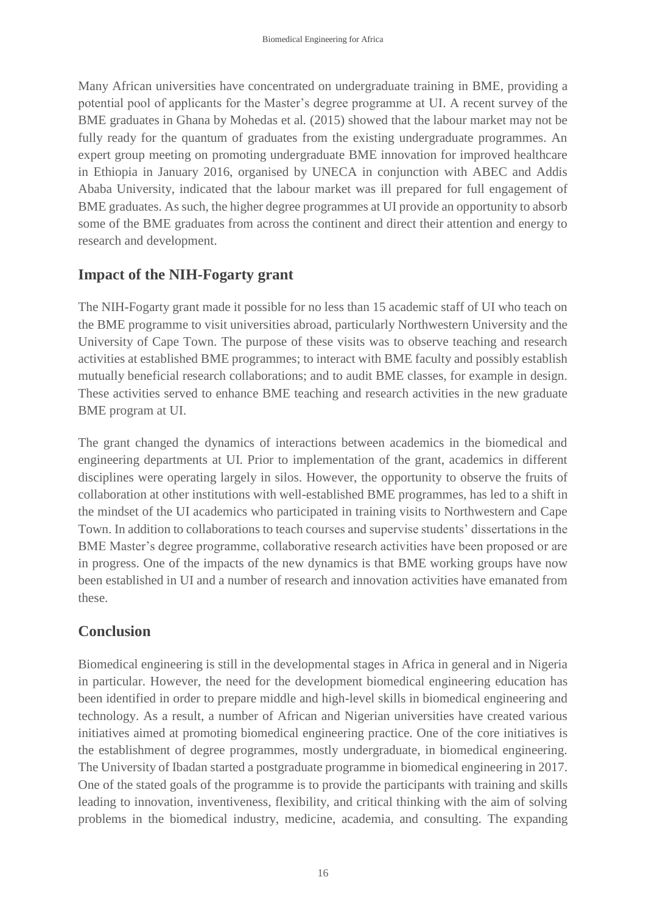Many African universities have concentrated on undergraduate training in BME, providing a potential pool of applicants for the Master's degree programme at UI. A recent survey of the BME graduates in Ghana by Mohedas et al*.* (2015) showed that the labour market may not be fully ready for the quantum of graduates from the existing undergraduate programmes. An expert group meeting on promoting undergraduate BME innovation for improved healthcare in Ethiopia in January 2016, organised by UNECA in conjunction with ABEC and Addis Ababa University, indicated that the labour market was ill prepared for full engagement of BME graduates. As such, the higher degree programmes at UI provide an opportunity to absorb some of the BME graduates from across the continent and direct their attention and energy to research and development.

## **Impact of the NIH-Fogarty grant**

The NIH-Fogarty grant made it possible for no less than 15 academic staff of UI who teach on the BME programme to visit universities abroad, particularly Northwestern University and the University of Cape Town. The purpose of these visits was to observe teaching and research activities at established BME programmes; to interact with BME faculty and possibly establish mutually beneficial research collaborations; and to audit BME classes, for example in design. These activities served to enhance BME teaching and research activities in the new graduate BME program at UI.

The grant changed the dynamics of interactions between academics in the biomedical and engineering departments at UI. Prior to implementation of the grant, academics in different disciplines were operating largely in silos. However, the opportunity to observe the fruits of collaboration at other institutions with well-established BME programmes, has led to a shift in the mindset of the UI academics who participated in training visits to Northwestern and Cape Town. In addition to collaborations to teach courses and supervise students' dissertations in the BME Master's degree programme, collaborative research activities have been proposed or are in progress. One of the impacts of the new dynamics is that BME working groups have now been established in UI and a number of research and innovation activities have emanated from these.

# **Conclusion**

Biomedical engineering is still in the developmental stages in Africa in general and in Nigeria in particular. However, the need for the development biomedical engineering education has been identified in order to prepare middle and high-level skills in biomedical engineering and technology. As a result, a number of African and Nigerian universities have created various initiatives aimed at promoting biomedical engineering practice. One of the core initiatives is the establishment of degree programmes, mostly undergraduate, in biomedical engineering. The University of Ibadan started a postgraduate programme in biomedical engineering in 2017. One of the stated goals of the programme is to provide the participants with training and skills leading to innovation, inventiveness, flexibility, and critical thinking with the aim of solving problems in the biomedical industry, medicine, academia, and consulting. The expanding